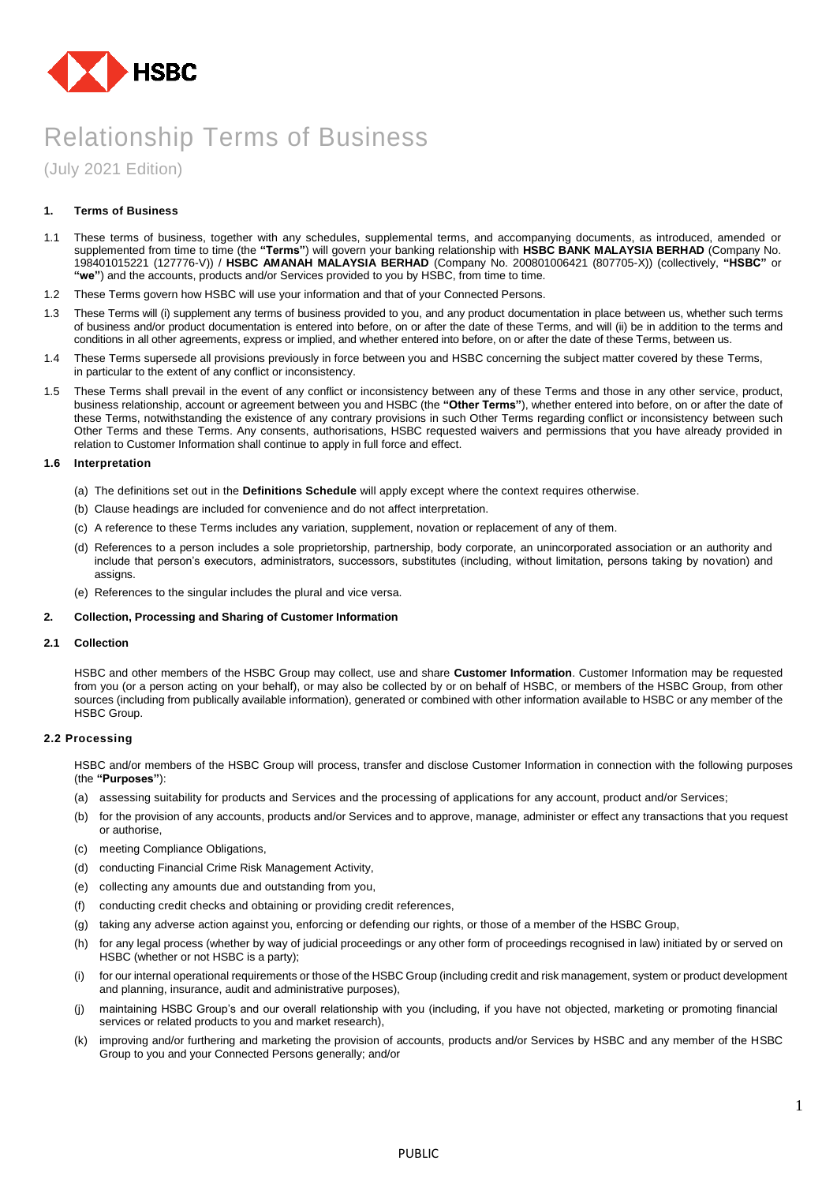

(July 2021 Edition)

# **1. Terms of Business**

- 1.1 These terms of business, together with any schedules, supplemental terms, and accompanying documents, as introduced, amended or supplemented from time to time (the **"Terms"**) will govern your banking relationship with **HSBC BANK MALAYSIA BERHAD** (Company No. 198401015221 (127776-V)) / **HSBC AMANAH MALAYSIA BERHAD** (Company No. 200801006421 (807705-X)) (collectively, **"HSBC"** or **"we"**) and the accounts, products and/or Services provided to you by HSBC, from time to time.
- 1.2 These Terms govern how HSBC will use your information and that of your Connected Persons.
- 1.3 These Terms will (i) supplement any terms of business provided to you, and any product documentation in place between us, whether such terms of business and/or product documentation is entered into before, on or after the date of these Terms, and will (ii) be in addition to the terms and conditions in all other agreements, express or implied, and whether entered into before, on or after the date of these Terms, between us.
- 1.4 These Terms supersede all provisions previously in force between you and HSBC concerning the subject matter covered by these Terms, in particular to the extent of any conflict or inconsistency.
- 1.5 These Terms shall prevail in the event of any conflict or inconsistency between any of these Terms and those in any other service, product, business relationship, account or agreement between you and HSBC (the **"Other Terms"**), whether entered into before, on or after the date of these Terms, notwithstanding the existence of any contrary provisions in such Other Terms regarding conflict or inconsistency between such Other Terms and these Terms. Any consents, authorisations, HSBC requested waivers and permissions that you have already provided in relation to Customer Information shall continue to apply in full force and effect.

#### **1.6 Interpretation**

- (a) The definitions set out in the **Definitions Schedule** will apply except where the context requires otherwise.
- (b) Clause headings are included for convenience and do not affect interpretation.
- (c) A reference to these Terms includes any variation, supplement, novation or replacement of any of them.
- (d) References to a person includes a sole proprietorship, partnership, body corporate, an unincorporated association or an authority and include that person's executors, administrators, successors, substitutes (including, without limitation, persons taking by novation) and assigns.

(e) References to the singular includes the plural and vice versa.

# **2. Collection, Processing and Sharing of Customer Information**

#### **2.1 Collection**

HSBC and other members of the HSBC Group may collect, use and share **Customer Information**. Customer Information may be requested from you (or a person acting on your behalf), or may also be collected by or on behalf of HSBC, or members of the HSBC Group, from other sources (including from publically available information), generated or combined with other information available to HSBC or any member of the HSBC Group.

#### **2.2 Processing**

HSBC and/or members of the HSBC Group will process, transfer and disclose Customer Information in connection with the following purposes (the **"Purposes"**):

- (a) assessing suitability for products and Services and the processing of applications for any account, product and/or Services;
- (b) for the provision of any accounts, products and/or Services and to approve, manage, administer or effect any transactions that you request or authorise,
- (c) meeting Compliance Obligations,
- (d) conducting Financial Crime Risk Management Activity,
- (e) collecting any amounts due and outstanding from you,
- (f) conducting credit checks and obtaining or providing credit references,
- (g) taking any adverse action against you, enforcing or defending our rights, or those of a member of the HSBC Group,
- (h) for any legal process (whether by way of judicial proceedings or any other form of proceedings recognised in law) initiated by or served on HSBC (whether or not HSBC is a party);
- (i) for our internal operational requirements or those of the HSBC Group (including credit and risk management, system or product development and planning, insurance, audit and administrative purposes),
- (j) maintaining HSBC Group's and our overall relationship with you (including, if you have not objected, marketing or promoting financial services or related products to you and market research),
- (k) improving and/or furthering and marketing the provision of accounts, products and/or Services by HSBC and any member of the HSBC Group to you and your Connected Persons generally; and/or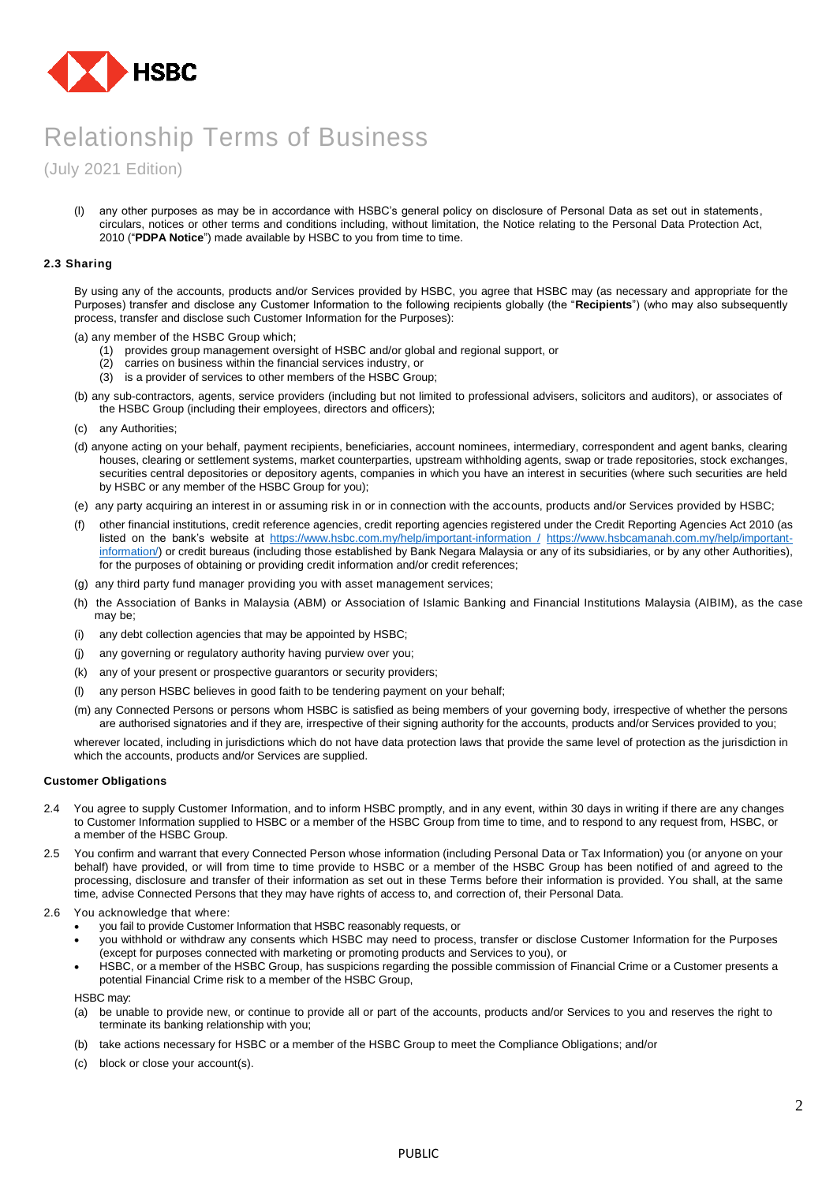

(July 2021 Edition)

(l) any other purposes as may be in accordance with HSBC's general policy on disclosure of Personal Data as set out in statements, circulars, notices or other terms and conditions including, without limitation, the Notice relating to the Personal Data Protection Act, 2010 ("**PDPA Notice**") made available by HSBC to you from time to time.

# **2.3 Sharing**

By using any of the accounts, products and/or Services provided by HSBC, you agree that HSBC may (as necessary and appropriate for the Purposes) transfer and disclose any Customer Information to the following recipients globally (the "**Recipients**") (who may also subsequently process, transfer and disclose such Customer Information for the Purposes):

(a) any member of the HSBC Group which;

- (1) provides group management oversight of HSBC and/or global and regional support, or
- (2) carries on business within the financial services industry, or
- (3) is a provider of services to other members of the HSBC Group;
- (b) any sub-contractors, agents, service providers (including but not limited to professional advisers, solicitors and auditors), or associates of the HSBC Group (including their employees, directors and officers);
- (c) any Authorities;
- (d) anyone acting on your behalf, payment recipients, beneficiaries, account nominees, intermediary, correspondent and agent banks, clearing houses, clearing or settlement systems, market counterparties, upstream withholding agents, swap or trade repositories, stock exchanges, securities central depositories or depository agents, companies in which you have an interest in securities (where such securities are held by HSBC or any member of the HSBC Group for you);
- (e) any party acquiring an interest in or assuming risk in or in connection with the accounts, products and/or Services provided by HSBC;
- (f) other financial institutions, credit reference agencies, credit reporting agencies registered under the Credit Reporting Agencies Act 2010 (as listed on the bank's website at [https://www.hsbc.com.my/help/important-information /](https://www.hsbc.com.my/help/important-information%20/) [https://www.hsbcamanah.com.my/help/important](https://www.hsbcamanah.com.my/help/important-information/)[information/\)](https://www.hsbcamanah.com.my/help/important-information/) or credit bureaus (including those established by Bank Negara Malaysia or any of its subsidiaries, or by any other Authorities), for the purposes of obtaining or providing credit information and/or credit references;
- (g) any third party fund manager providing you with asset management services;
- (h) the Association of Banks in Malaysia (ABM) or Association of Islamic Banking and Financial Institutions Malaysia (AIBIM), as the case may be;
- (i) any debt collection agencies that may be appointed by HSBC;
- (j) any governing or regulatory authority having purview over you;
- (k) any of your present or prospective guarantors or security providers;
- (l) any person HSBC believes in good faith to be tendering payment on your behalf;
- (m) any Connected Persons or persons whom HSBC is satisfied as being members of your governing body, irrespective of whether the persons are authorised signatories and if they are, irrespective of their signing authority for the accounts, products and/or Services provided to you;

wherever located, including in jurisdictions which do not have data protection laws that provide the same level of protection as the jurisdiction in which the accounts, products and/or Services are supplied.

#### **Customer Obligations**

- 2.4 You agree to supply Customer Information, and to inform HSBC promptly, and in any event, within 30 days in writing if there are any changes to Customer Information supplied to HSBC or a member of the HSBC Group from time to time, and to respond to any request from, HSBC, or a member of the HSBC Group.
- 2.5 You confirm and warrant that every Connected Person whose information (including Personal Data or Tax Information) you (or anyone on your behalf) have provided, or will from time to time provide to HSBC or a member of the HSBC Group has been notified of and agreed to the processing, disclosure and transfer of their information as set out in these Terms before their information is provided. You shall, at the same time, advise Connected Persons that they may have rights of access to, and correction of, their Personal Data.
- 2.6 You acknowledge that where:
	- you fail to provide Customer Information that HSBC reasonably requests, or
	- you withhold or withdraw any consents which HSBC may need to process, transfer or disclose Customer Information for the Purposes (except for purposes connected with marketing or promoting products and Services to you), or
	- HSBC, or a member of the HSBC Group, has suspicions regarding the possible commission of Financial Crime or a Customer presents a potential Financial Crime risk to a member of the HSBC Group,

HSBC may:

- (a) be unable to provide new, or continue to provide all or part of the accounts, products and/or Services to you and reserves the right to terminate its banking relationship with you;
- (b) take actions necessary for HSBC or a member of the HSBC Group to meet the Compliance Obligations; and/or
- (c) block or close your account(s).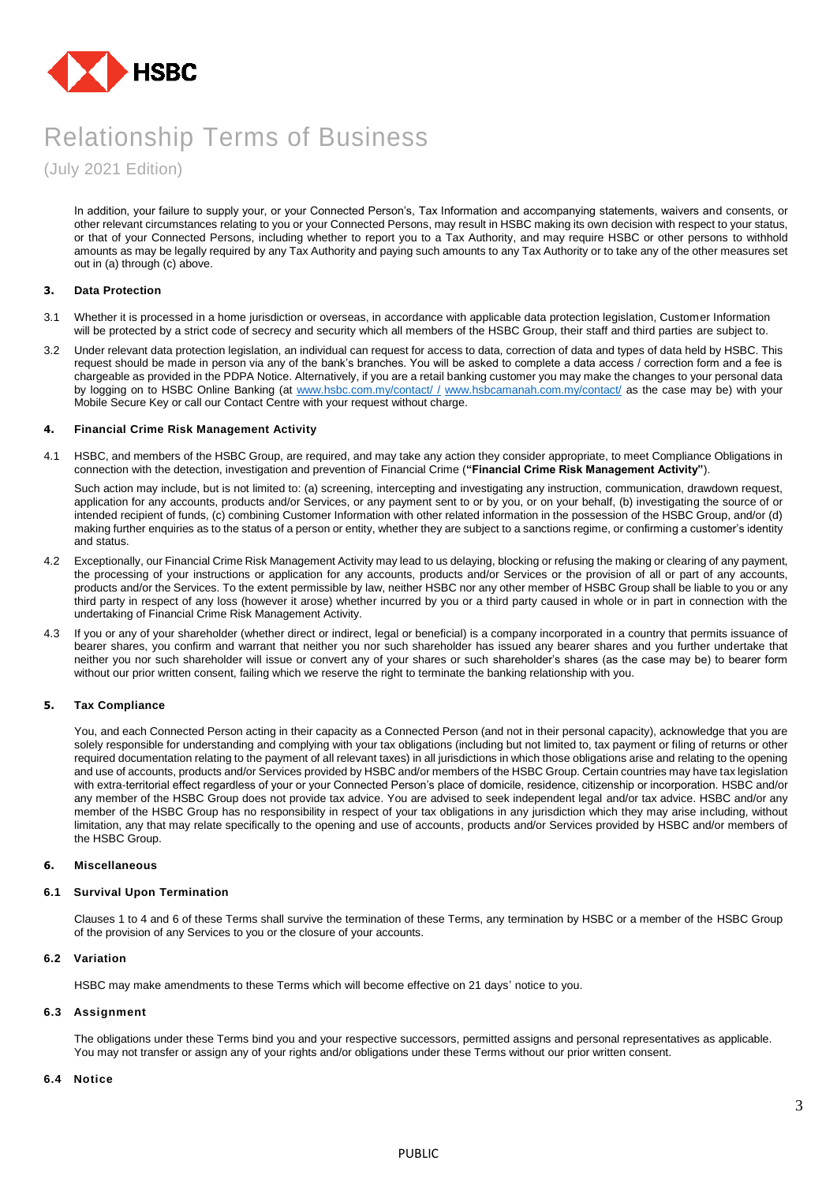

(July 2021 Edition)

In addition, your failure to supply your, or your Connected Person's, Tax Information and accompanying statements, waivers and consents, or other relevant circumstances relating to you or your Connected Persons, may result in HSBC making its own decision with respect to your status, or that of your Connected Persons, including whether to report you to a Tax Authority, and may require HSBC or other persons to withhold amounts as may be legally required by any Tax Authority and paying such amounts to any Tax Authority or to take any of the other measures set out in (a) through (c) above.

# **3. Data Protection**

- 3.1 Whether it is processed in a home jurisdiction or overseas, in accordance with applicable data protection legislation, Customer Information will be protected by a strict code of secrecy and security which all members of the HSBC Group, their staff and third parties are subject to.
- 3.2 Under relevant data protection legislation, an individual can request for access to data, correction of data and types of data held by HSBC. This request should be made in person via any of the bank's branches. You will be asked to complete a data access / correction form and a fee is chargeable as provided in the PDPA Notice. Alternatively, if you are a retail banking customer you may make the changes to your personal data by logging on to HSBC Online Banking (at [www.hsbc.com.my/contact/ /](http://www.hsbc.com.my/contact/%20/) [www.hsbcamanah.com.my/contact/](http://www.hsbcamanah.com.my/contact/) as the case may be) with your Mobile Secure Key or call our Contact Centre with your request without charge.

# **4. Financial Crime Risk Management Activity**

4.1 HSBC, and members of the HSBC Group, are required, and may take any action they consider appropriate, to meet Compliance Obligations in connection with the detection, investigation and prevention of Financial Crime (**"Financial Crime Risk Management Activity"**).

Such action may include, but is not limited to: (a) screening, intercepting and investigating any instruction, communication, drawdown request, application for any accounts, products and/or Services, or any payment sent to or by you, or on your behalf, (b) investigating the source of or intended recipient of funds, (c) combining Customer Information with other related information in the possession of the HSBC Group, and/or (d) making further enquiries as to the status of a person or entity, whether they are subject to a sanctions regime, or confirming a customer's identity and status.

- 4.2 Exceptionally, our Financial Crime Risk Management Activity may lead to us delaying, blocking or refusing the making or clearing of any payment, the processing of your instructions or application for any accounts, products and/or Services or the provision of all or part of any accounts, products and/or the Services. To the extent permissible by law, neither HSBC nor any other member of HSBC Group shall be liable to you or any third party in respect of any loss (however it arose) whether incurred by you or a third party caused in whole or in part in connection with the undertaking of Financial Crime Risk Management Activity.
- 4.3 If you or any of your shareholder (whether direct or indirect, legal or beneficial) is a company incorporated in a country that permits issuance of bearer shares, you confirm and warrant that neither you nor such shareholder has issued any bearer shares and you further undertake that neither you nor such shareholder will issue or convert any of your shares or such shareholder's shares (as the case may be) to bearer form without our prior written consent, failing which we reserve the right to terminate the banking relationship with you.

#### **5. Tax Compliance**

You, and each Connected Person acting in their capacity as a Connected Person (and not in their personal capacity), acknowledge that you are solely responsible for understanding and complying with your tax obligations (including but not limited to, tax payment or filing of returns or other required documentation relating to the payment of all relevant taxes) in all jurisdictions in which those obligations arise and relating to the opening and use of accounts, products and/or Services provided by HSBC and/or members of the HSBC Group. Certain countries may have tax legislation with extra-territorial effect regardless of your or your Connected Person's place of domicile, residence, citizenship or incorporation. HSBC and/or any member of the HSBC Group does not provide tax advice. You are advised to seek independent legal and/or tax advice. HSBC and/or any member of the HSBC Group has no responsibility in respect of your tax obligations in any jurisdiction which they may arise including, without limitation, any that may relate specifically to the opening and use of accounts, products and/or Services provided by HSBC and/or members of the HSBC Group.

#### **6. Miscellaneous**

#### **6.1 Survival Upon Termination**

Clauses 1 to 4 and 6 of these Terms shall survive the termination of these Terms, any termination by HSBC or a member of the HSBC Group of the provision of any Services to you or the closure of your accounts.

# **6.2 Variation**

HSBC may make amendments to these Terms which will become effective on 21 days' notice to you.

#### **6.3 Assignment**

The obligations under these Terms bind you and your respective successors, permitted assigns and personal representatives as applicable. You may not transfer or assign any of your rights and/or obligations under these Terms without our prior written consent.

#### **6.4 Notice**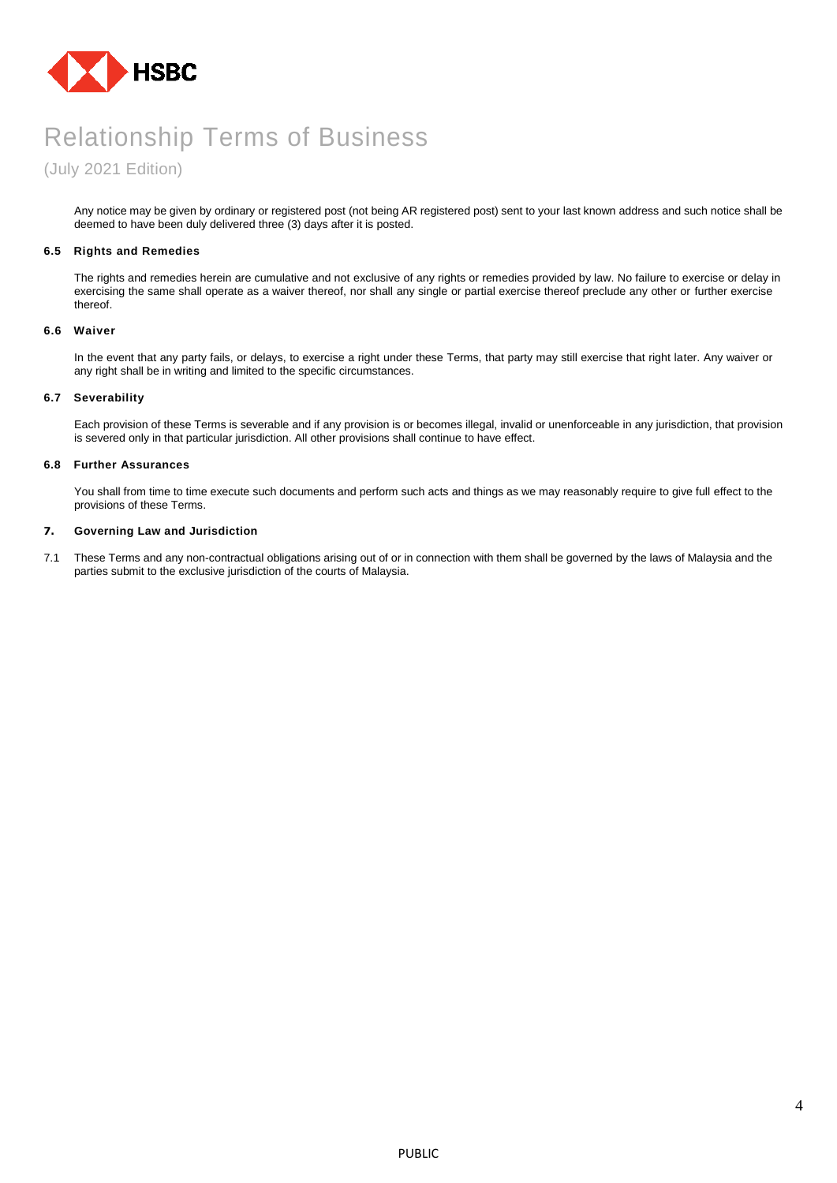

# (July 2021 Edition)

Any notice may be given by ordinary or registered post (not being AR registered post) sent to your last known address and such notice shall be deemed to have been duly delivered three (3) days after it is posted.

# **6.5 Rights and Remedies**

The rights and remedies herein are cumulative and not exclusive of any rights or remedies provided by law. No failure to exercise or delay in exercising the same shall operate as a waiver thereof, nor shall any single or partial exercise thereof preclude any other or further exercise thereof.

### **6.6 Waiver**

In the event that any party fails, or delays, to exercise a right under these Terms, that party may still exercise that right later. Any waiver or any right shall be in writing and limited to the specific circumstances.

# **6.7 Severability**

Each provision of these Terms is severable and if any provision is or becomes illegal, invalid or unenforceable in any jurisdiction, that provision is severed only in that particular jurisdiction. All other provisions shall continue to have effect.

# **6.8 Further Assurances**

You shall from time to time execute such documents and perform such acts and things as we may reasonably require to give full effect to the provisions of these Terms.

# **7. Governing Law and Jurisdiction**

7.1 These Terms and any non-contractual obligations arising out of or in connection with them shall be governed by the laws of Malaysia and the parties submit to the exclusive jurisdiction of the courts of Malaysia.